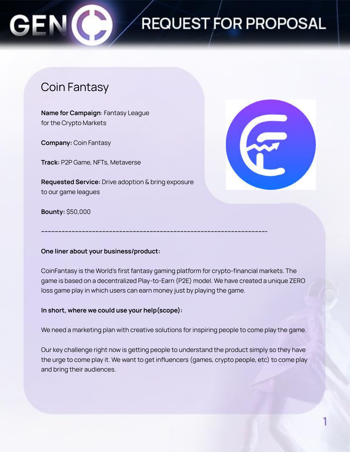

### Coin Fantasy

**Name for Campaign**: Fantasy League for the Crypto Markets

**Company:** Coin Fantasy

**Track:** P2P Game, NFTs, Metaverse

**Requested Service:** Drive adoption & bring exposure to our game leagues



**Bounty:** \$50,000

#### **One liner about your business/product:**

CoinFantasy is the World's first fantasy gaming platform for crypto-financial markets. The game is based on a decentralized Play-to-Earn (P2E) model. We have created a unique ZERO loss game play in which users can earn money just by playing the game.

**------------------------------------------------------------------------------------------------------------------------------------**

#### **In short, where we could use your help(scope):**

We need a marketing plan with creative solutions for inspiring people to come play the game.

Our key challenge right now is getting people to understand the product simply so they have the urge to come play it. We want to get influencers (games, crypto people, etc) to come play and bring their audiences.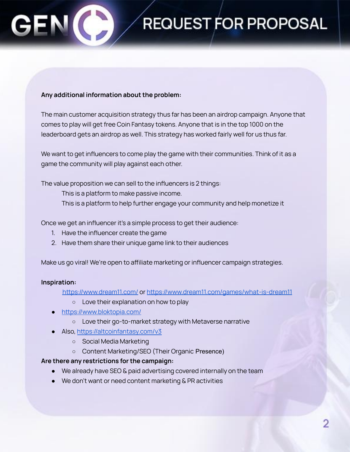#### **Any additional information about the problem:**

The main customer acquisition strategy thus far has been an airdrop campaign. Anyone that comes to play will get free Coin Fantasy tokens. Anyone that is in the top 1000 on the leaderboard gets an airdrop as well. This strategy has worked fairly well for us thus far.

We want to get influencers to come play the game with their communities. Think of it as a game the community will play against each other.

The value proposition we can sell to the influencers is 2 things:

This is a platform to make passive income.

This is a platform to help further engage your community and help monetize it

Once we get an influencer it's a simple process to get their audience:

- 1. Have the influencer create the game
- 2. Have them share their unique game link to their audiences

Make us go viral! We're open to affiliate marketing or influencer campaign strategies.

#### **Inspiration:**

<https://www.dream11.com/> or <https://www.dream11.com/games/what-is-dream11>

- Love their explanation on how to play
- <https://www.bloktopia.com/>
	- Love their go-to-market strategy with Metaverse narrative
- Also, <https://altcoinfantasy.com/v3>
	- Social Media Marketing
	- Content Marketing/SEO (Their Organic Presence)

#### **Are there any restrictions for the campaign:**

- We already have SEO & paid advertising covered internally on the team
- We don't want or need content marketing & PR activities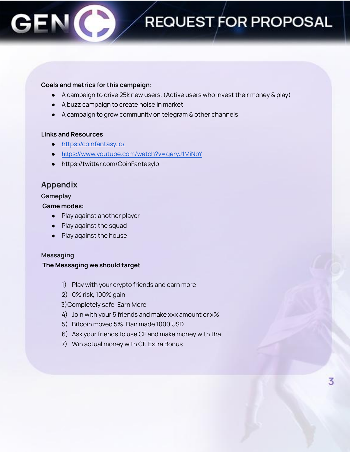#### **Goals and metrics for this campaign:**

- A campaign to drive 25k new users. (Active users who invest their money & play)
- A buzz campaign to create noise in market
- A campaign to grow community on telegram & other channels

#### **Links and Resources**

- <https://coinfantasy.io/>
- htt[ps://www.youtube.com/watch?v=geryJ1MiNbY](https://www.youtube.com/watch?v=geryJ1MiNbY)
- https://twitter.com/CoinFantasyIo

### **Appendix**

#### **Gameplay**

#### **Game modes:**

- Play against another player
- Play against the squad
- Play against the house

#### **Messaging**

#### **The Messaging we should target**

- 1) Play with your crypto friends and earn more
- 2) 0% risk, 100% gain

3)Completely safe, Earn More

- 4) Join with your 5 friends and make xxx amount or x%
- 5) Bitcoin moved 5%, Dan made 1000 USD
- 6) Ask your friends to use CF and make money with that
- 7) Win actual money with CF, Extra Bonus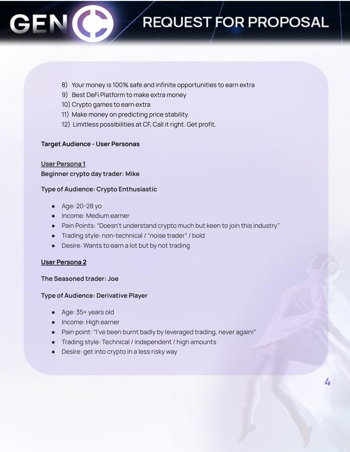- 8) Your money is 100% safe and infinite opportunities to earn extra
- 9) Best DeFi Platform to make extra money
- 10) Crypto games to earn extra
- 11) Make money on predicting price stability.
- 12) Limitless possibilities at CF, Call it right. Get profit.

#### **Target Audience - User Personas**

#### **User Persona 1**

#### **Beginner crypto day trader: Mike**

#### **Type of Audience: Crypto Enthusiastic**

- Age: 20-28 yo
- Income: Medium earner
- Pain Points: "Doesn't understand crypto much but keen to join this industry"
- Trading style: non-technical / "noise trader" / bold
- Desire: Wants to earn a lot but by not trading

#### **User Persona 2**

#### **The Seasoned trader: Joe**

#### **Type of Audience: Derivative Player**

- Age: 35+ years old
- **●** Income: High earner
- Pain point: "I've been burnt badly by leveraged trading, never again!"
- Trading style: Technical / independent / high amounts
- Desire: get into crypto in a less risky way